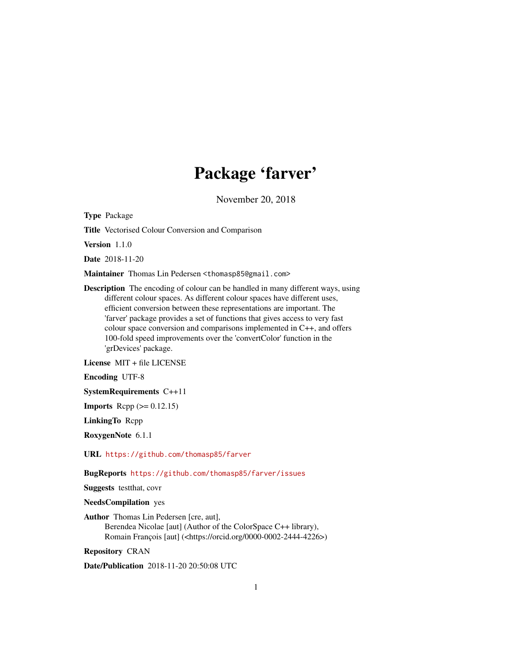## Package 'farver'

November 20, 2018

<span id="page-0-0"></span>Type Package

Title Vectorised Colour Conversion and Comparison

Version 1.1.0

Date 2018-11-20

Maintainer Thomas Lin Pedersen <thomasp85@gmail.com>

Description The encoding of colour can be handled in many different ways, using different colour spaces. As different colour spaces have different uses, efficient conversion between these representations are important. The 'farver' package provides a set of functions that gives access to very fast colour space conversion and comparisons implemented in C++, and offers 100-fold speed improvements over the 'convertColor' function in the 'grDevices' package.

License MIT + file LICENSE

Encoding UTF-8

SystemRequirements C++11

**Imports** Rcpp  $(>= 0.12.15)$ 

LinkingTo Rcpp

RoxygenNote 6.1.1

URL <https://github.com/thomasp85/farver>

BugReports <https://github.com/thomasp85/farver/issues>

Suggests testthat, covr

NeedsCompilation yes

Author Thomas Lin Pedersen [cre, aut], Berendea Nicolae [aut] (Author of the ColorSpace C++ library), Romain François [aut] (<https://orcid.org/0000-0002-2444-4226>)

Repository CRAN

Date/Publication 2018-11-20 20:50:08 UTC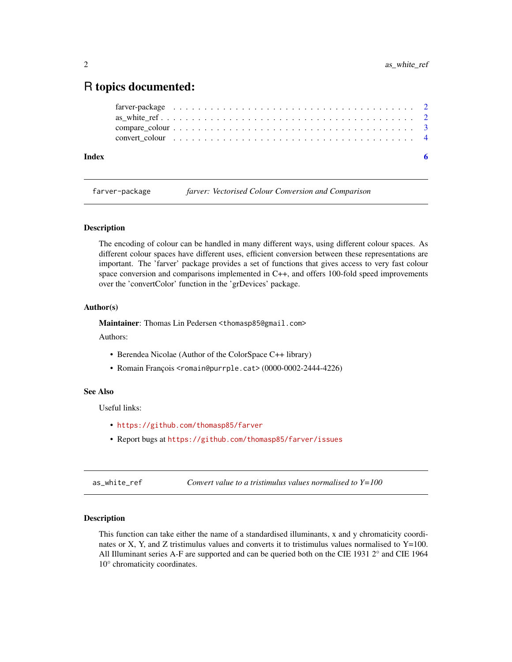### <span id="page-1-0"></span>R topics documented:

| Index |  |  |  |  |  |  |  |  |  |  |  |  |  |  |  |  |  |  |  |  |
|-------|--|--|--|--|--|--|--|--|--|--|--|--|--|--|--|--|--|--|--|--|
|       |  |  |  |  |  |  |  |  |  |  |  |  |  |  |  |  |  |  |  |  |
|       |  |  |  |  |  |  |  |  |  |  |  |  |  |  |  |  |  |  |  |  |
|       |  |  |  |  |  |  |  |  |  |  |  |  |  |  |  |  |  |  |  |  |
|       |  |  |  |  |  |  |  |  |  |  |  |  |  |  |  |  |  |  |  |  |

farver-package *farver: Vectorised Colour Conversion and Comparison*

#### Description

The encoding of colour can be handled in many different ways, using different colour spaces. As different colour spaces have different uses, efficient conversion between these representations are important. The 'farver' package provides a set of functions that gives access to very fast colour space conversion and comparisons implemented in C++, and offers 100-fold speed improvements over the 'convertColor' function in the 'grDevices' package.

#### Author(s)

Maintainer: Thomas Lin Pedersen <thomasp85@gmail.com>

Authors:

- Berendea Nicolae (Author of the ColorSpace C++ library)
- Romain François <romain@purrple.cat> (0000-0002-2444-4226)

#### See Also

Useful links:

- <https://github.com/thomasp85/farver>
- Report bugs at <https://github.com/thomasp85/farver/issues>

<span id="page-1-1"></span>as\_white\_ref *Convert value to a tristimulus values normalised to Y=100*

#### Description

This function can take either the name of a standardised illuminants, x and y chromaticity coordinates or X, Y, and Z tristimulus values and converts it to tristimulus values normalised to  $Y=100$ . All Illuminant series A-F are supported and can be queried both on the CIE 1931 2° and CIE 1964 10° chromaticity coordinates.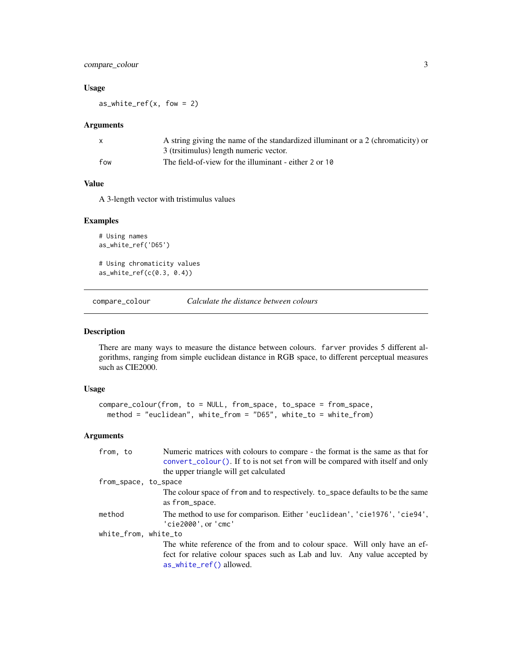#### <span id="page-2-0"></span>compare\_colour 3

#### Usage

 $as_w$ hite\_ref(x, fow = 2)

#### Arguments

| $\mathsf{x}$ | A string giving the name of the standardized illuminant or a 2 (chromaticity) or |
|--------------|----------------------------------------------------------------------------------|
|              | 3 (trsitimulus) length numeric vector.                                           |
| fow          | The field-of-view for the illuminant - either 2 or 10                            |

#### Value

A 3-length vector with tristimulus values

#### Examples

```
# Using names
as_white_ref('D65')
# Using chromaticity values
as_white_ref(c(0.3, 0.4))
```
compare\_colour *Calculate the distance between colours*

#### Description

There are many ways to measure the distance between colours. farver provides 5 different algorithms, ranging from simple euclidean distance in RGB space, to different perceptual measures such as CIE2000.

#### Usage

```
compare_colour(from, to = NULL, from_space, to_space = from_space,
 method = "euclidean", white_from = "D65", white_to = white_from)
```
#### Arguments

| from, to             | Numeric matrices with colours to compare - the format is the same as that for<br>$convert_{colour}()$ . If to is not set from will be compared with itself and only |
|----------------------|---------------------------------------------------------------------------------------------------------------------------------------------------------------------|
|                      | the upper triangle will get calculated                                                                                                                              |
| from_space, to_space |                                                                                                                                                                     |
|                      | The colour space of from and to respectively. to_space defaults to be the same<br>as from_space.                                                                    |
| method               | The method to use for comparison. Either 'euclidean', 'cie1976', 'cie94',<br>'cie2000', or 'cmc'                                                                    |
| white_from, white_to |                                                                                                                                                                     |
|                      | The white reference of the from and to colour space. Will only have an ef-                                                                                          |
|                      | fect for relative colour spaces such as Lab and luv. Any value accepted by                                                                                          |
|                      | as_white_ref() allowed.                                                                                                                                             |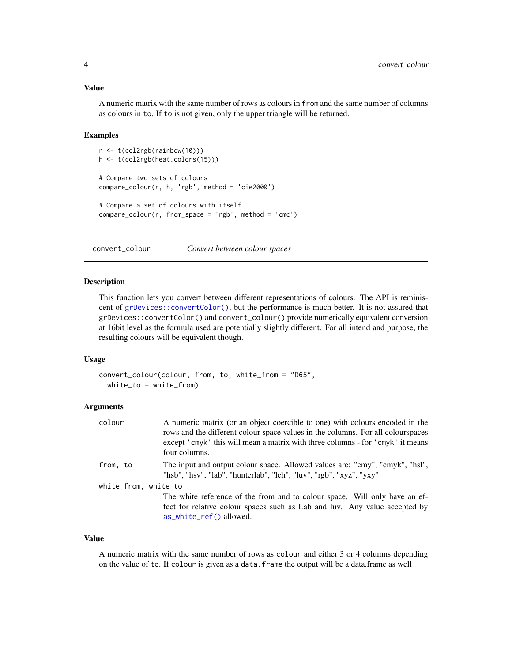#### <span id="page-3-0"></span>Value

A numeric matrix with the same number of rows as colours in from and the same number of columns as colours in to. If to is not given, only the upper triangle will be returned.

#### Examples

```
r <- t(col2rgb(rainbow(10)))
h <- t(col2rgb(heat.colors(15)))
# Compare two sets of colours
compare_colour(r, h, 'rgb', method = 'cie2000')
# Compare a set of colours with itself
compare_colour(r, from_space = 'rgb', method = 'cmc')
```
<span id="page-3-1"></span>convert\_colour *Convert between colour spaces*

#### **Description**

This function lets you convert between different representations of colours. The API is reminiscent of [grDevices::convertColor\(\)](#page-0-0), but the performance is much better. It is not assured that grDevices::convertColor() and convert\_colour() provide numerically equivalent conversion at 16bit level as the formula used are potentially slightly different. For all intend and purpose, the resulting colours will be equivalent though.

#### Usage

```
convert_colour(colour, from, to, white_from = "D65",
 white_to = white_from)
```
#### Arguments

| colour               | A numeric matrix (or an object coercible to one) with colours encoded in the<br>rows and the different colour space values in the columns. For all colourspaces<br>except 'cmyk' this will mean a matrix with three columns - for 'cmyk' it means<br>four columns. |
|----------------------|--------------------------------------------------------------------------------------------------------------------------------------------------------------------------------------------------------------------------------------------------------------------|
| from, to             | The input and output colour space. Allowed values are: "cmy", "cmyk", "hsl",<br>"hsb", "hsv", "lab", "hunterlab", "lch", "luv", "rgb", "xyz", "yxy"                                                                                                                |
| white_from, white_to |                                                                                                                                                                                                                                                                    |
|                      | The white reference of the from and to colour space. Will only have an ef-<br>fect for relative colour spaces such as Lab and luv. Any value accepted by<br>as_white_ref() allowed.                                                                                |

#### Value

A numeric matrix with the same number of rows as colour and either 3 or 4 columns depending on the value of to. If colour is given as a data.frame the output will be a data.frame as well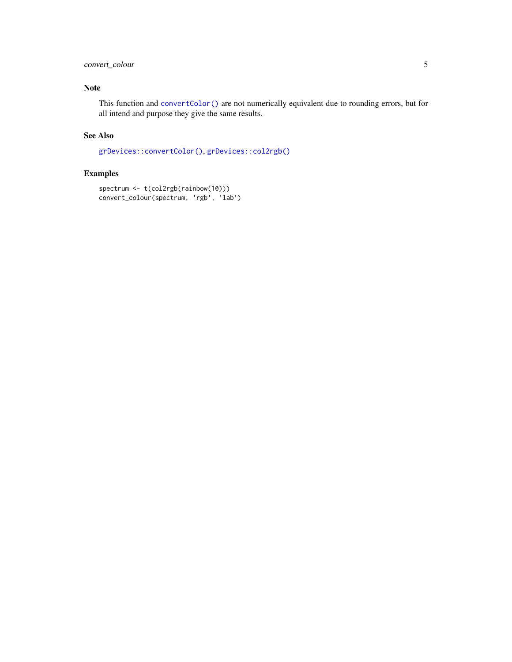#### <span id="page-4-0"></span>convert\_colour 5

#### Note

This function and [convertColor\(\)](#page-0-0) are not numerically equivalent due to rounding errors, but for all intend and purpose they give the same results.

#### See Also

[grDevices::convertColor\(\)](#page-0-0), [grDevices::col2rgb\(\)](#page-0-0)

#### Examples

```
spectrum <- t(col2rgb(rainbow(10)))
convert_colour(spectrum, 'rgb', 'lab')
```